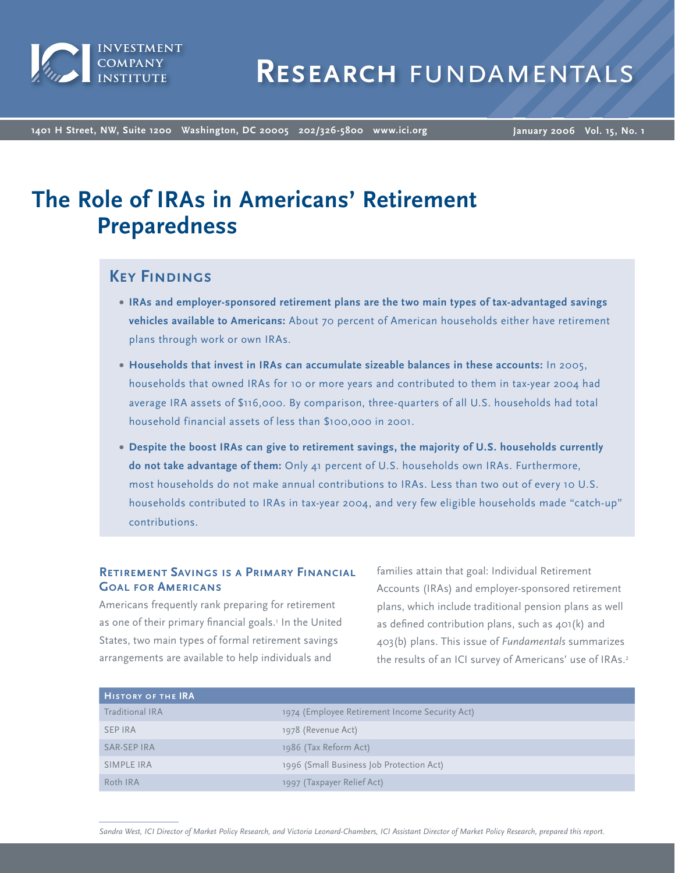

**1401 H Street, NW, Suite 1200 Washington, DC 20005 202/326-5800 www.ici.org**

**January 2006 Vol. 15, No. 1**

# **The Role of IRAs in Americans' Retirement Preparedness**

# **Key Findings**

- **IRAs and employer-sponsored retirement plans are the two main types of tax-advantaged savings vehicles available to Americans:** About 70 percent of American households either have retirement plans through work or own IRAs.
- **Households that invest in IRAs can accumulate sizeable balances in these accounts:** In 2005, households that owned IRAs for 10 or more years and contributed to them in tax-year 2004 had average IRA assets of \$116,000. By comparison, three-quarters of all U.S. households had total household financial assets of less than \$100,000 in 2001.
- **Despite the boost IRAs can give to retirement savings, the majority of U.S. households currently do not take advantage of them:** Only 41 percent of U.S. households own IRAs. Furthermore, most households do not make annual contributions to IRAs. Less than two out of every 10 U.S. households contributed to IRAs in tax-year 2004, and very few eligible households made "catch-up" contributions.

# **Retirement Savings is a Primary Financial Goal for Americans**

Americans frequently rank preparing for retirement as one of their primary financial goals.<sup>1</sup> In the United States, two main types of formal retirement savings arrangements are available to help individuals and

families attain that goal: Individual Retirement Accounts (IRAs) and employer-sponsored retirement plans, which include traditional pension plans as well as defined contribution plans, such as  $401(k)$  and 403(b) plans. This issue of *Fundamentals* summarizes the results of an ICI survey of Americans' use of IRAs.<sup>2</sup>

| <b>HISTORY OF THE IRA</b> |                                                |
|---------------------------|------------------------------------------------|
| Traditional IRA           | 1974 (Employee Retirement Income Security Act) |
| <b>SEP IRA</b>            | 1978 (Revenue Act)                             |
| SAR-SEP IRA               | 1986 (Tax Reform Act)                          |
| SIMPLE IRA                | 1996 (Small Business Job Protection Act)       |
| Roth IRA                  | 1997 (Taxpayer Relief Act)                     |

*Sandra West, ICI Director of Market Policy Research, and Victoria Leonard-Chambers, ICI Assistant Director of Market Policy Research, prepared this report.*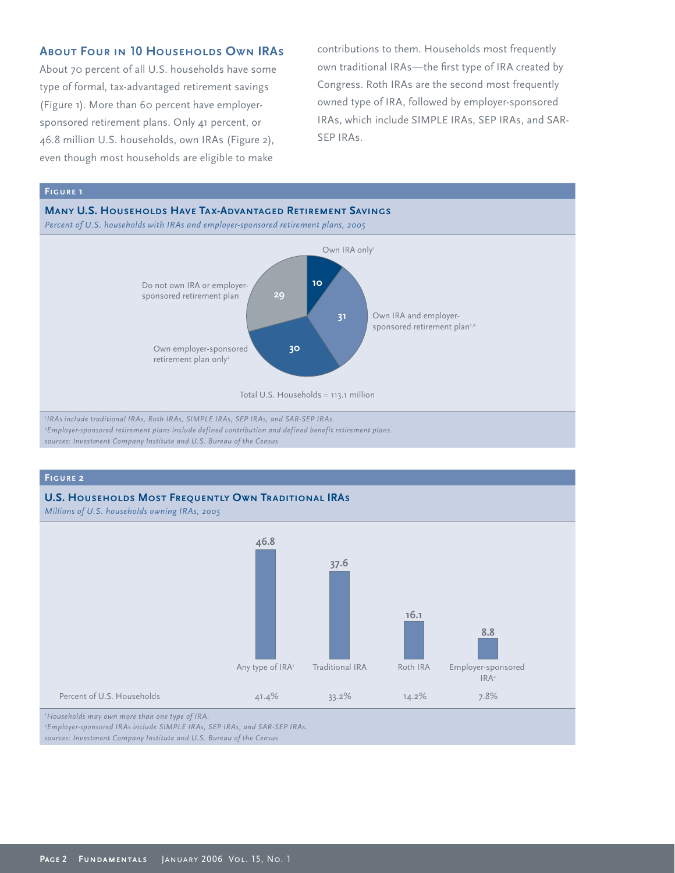## **ABOUT FOUR IN 10 HOUSEHOLDS OWN IRAS**

About 70 percent of all U.S. households have some type of formal, tax-advantaged retirement savings (Figure 1). More than 60 percent have employersponsored retirement plans. Only 41 percent, or 46.8 million U.S. households, own IRAs (Figure 2), even though most households are eligible to make

contributions to them. Households most frequently own traditional IRAs-the first type of IRA created by Congress. Roth IRAs are the second most frequently owned type of IRA, followed by employer-sponsored IRAs, which include SIMPLE IRAs, SEP IRAs, and SAR-SEP IRAs.

# **Figure 1 Many U.S. Households Have Tax-Advantaged Retirement Savings** *Percent of U.S. households with IRAs and employer-sponsored retirement plans, 2005* Do not own IRA or employersponsored retirement plan **10 31 30 29** Total U.S. Households =  $113.1$  million Own IRA only1 Own IRA and employersponsored retirement plan<sup>1,2</sup> Own employer-sponsored retirement plan only<sup>2</sup> *1 IRAs include traditional IRAs, Roth IRAs, SIMPLE IRAs, SEP IRAs, and SAR-SEP IRAs. 2 Employer-sponsored retirement plans include defined contribution and defined benefit retirement plans. sources: Investment Company Institute and U.S. Bureau of the Census*

#### **Figure 2**

#### **U.S. Households Most Frequently Own Traditional IRAs**

*Millions of U.S. households owning IRAs, 2005*



*sources: Investment Company Institute and U.S. Bureau of the Census*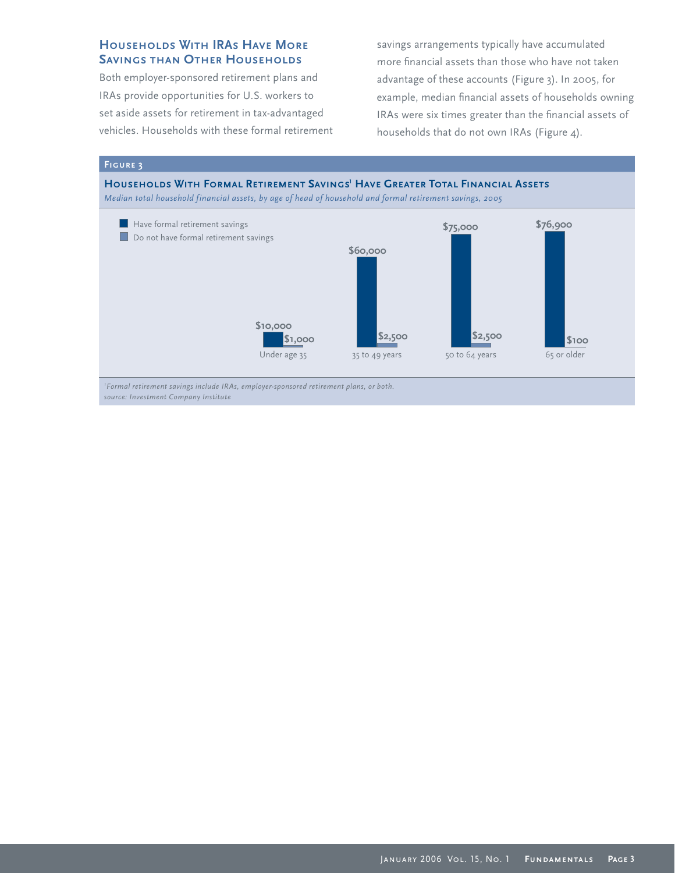## **Households With IRAs Have More SAVINGS THAN OTHER HOUSEHOLDS**

Both employer-sponsored retirement plans and IRAs provide opportunities for U.S. workers to set aside assets for retirement in tax-advantaged vehicles. Households with these formal retirement savings arrangements typically have accumulated more financial assets than those who have not taken advantage of these accounts (Figure 3). In 2005, for example, median financial assets of households owning IRAs were six times greater than the financial assets of households that do not own IRAs (Figure 4).

### **Figure 3**

**Households With Formal Retirement Savings1 Have Greater Total Financial Assets** *Median total household financial assets, by age of head of household and formal retirement savings, 2005*



*1 Formal retirement savings include IRAs, employer-sponsored retirement plans, or both. source: Investment Company Institute*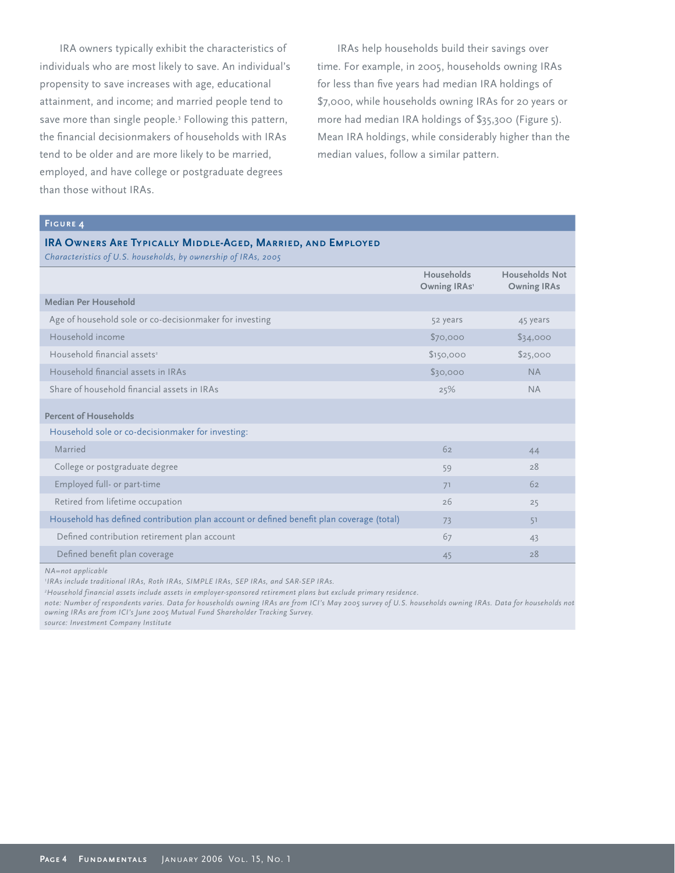IRA owners typically exhibit the characteristics of individuals who are most likely to save. An individual's propensity to save increases with age, educational attainment, and income; and married people tend to save more than single people.3 Following this pattern, the financial decisionmakers of households with IRAs tend to be older and are more likely to be married, employed, and have college or postgraduate degrees than those without IRAs.

IRAs help households build their savings over time. For example, in 2005, households owning IRAs for less than five years had median IRA holdings of \$7,000, while households owning IRAs for 20 years or more had median IRA holdings of \$35,300 (Figure 5). Mean IRA holdings, while considerably higher than the median values, follow a similar pattern.

## **Figure 4**

#### **IRA Owners Are Typically Middle-Aged, Married, and Employed**

*Characteristics of U.S. households, by ownership of IRAs, 2005*

|                                                                                          | <b>Households</b><br>Owning IRAs' | Households Not<br><b>Owning IRAs</b> |
|------------------------------------------------------------------------------------------|-----------------------------------|--------------------------------------|
| Median Per Household                                                                     |                                   |                                      |
| Age of household sole or co-decisionmaker for investing                                  | 52 years                          | 45 years                             |
| Household income                                                                         | \$70,000                          | \$34,000                             |
| Household financial assets <sup>2</sup>                                                  | \$150,000                         | \$25,000                             |
| Household financial assets in IRAs                                                       | \$30,000                          | <b>NA</b>                            |
| Share of household financial assets in IRAs                                              | 25%                               | <b>NA</b>                            |
| <b>Percent of Households</b>                                                             |                                   |                                      |
| Household sole or co-decisionmaker for investing:                                        |                                   |                                      |
| Married                                                                                  | 62                                | 44                                   |
| College or postgraduate degree                                                           | 59                                | 28                                   |
| Employed full- or part-time                                                              | 71                                | 62                                   |
| Retired from lifetime occupation                                                         | 26                                | 25                                   |
| Household has defined contribution plan account or defined benefit plan coverage (total) | 73                                | 51                                   |
| Defined contribution retirement plan account                                             | 67                                | 43                                   |
| Defined benefit plan coverage                                                            | 45                                | 28                                   |

*NA=not applicable*

*1 IRAs include traditional IRAs, Roth IRAs, SIMPLE IRAs, SEP IRAs, and SAR-SEP IRAs.*

*2 Household financial assets include assets in employer-sponsored retirement plans but exclude primary residence.*

*note: Number of respondents varies. Data for households owning IRAs are from ICI's May 2005 survey of U.S. households owning IRAs. Data for households not owning IRAs are from ICI's June 2005 Mutual Fund Shareholder Tracking Survey.*

*source: Investment Company Institute*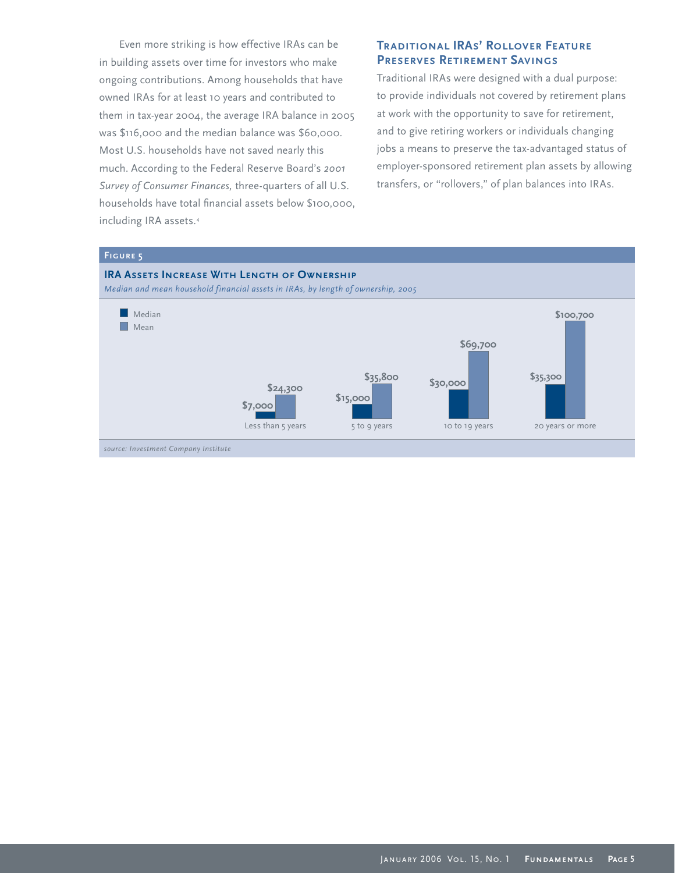Even more striking is how effective IRAs can be in building assets over time for investors who make ongoing contributions. Among households that have owned IRAs for at least 10 years and contributed to them in tax-year 2004, the average IRA balance in 2005 was \$116,000 and the median balance was \$60,000. Most U.S. households have not saved nearly this much. According to the Federal Reserve Board's *2001 Survey of Consumer Finances,* three-quarters of all U.S. households have total financial assets below \$100,000, including IRA assets.<sup>4</sup>

# **Traditional IRAs' Rollover Feature Preserves Retirement Savings**

Traditional IRAs were designed with a dual purpose: to provide individuals not covered by retirement plans at work with the opportunity to save for retirement, and to give retiring workers or individuals changing jobs a means to preserve the tax-advantaged status of employer-sponsored retirement plan assets by allowing transfers, or "rollovers," of plan balances into IRAs.

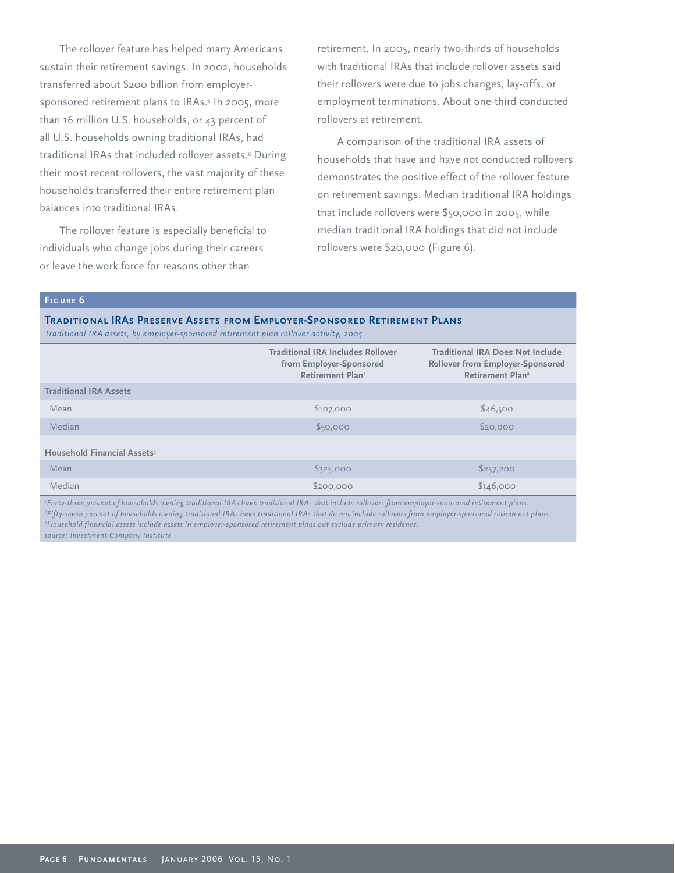The rollover feature has helped many Americans sustain their retirement savings. In 2002, households transferred about \$200 billion from employersponsored retirement plans to IRAs.<sup>5</sup> In 2005, more than 16 million U.S. households, or 43 percent of all U.S. households owning traditional IRAs, had traditional IRAs that included rollover assets.<sup>6</sup> During their most recent rollovers, the vast majority of these households transferred their entire retirement plan balances into traditional IRAs.

The rollover feature is especially beneficial to individuals who change jobs during their careers or leave the work force for reasons other than

retirement. In 2005, nearly two-thirds of households with traditional IRAs that include rollover assets said their rollovers were due to jobs changes, lay-offs, or employment terminations. About one-third conducted rollovers at retirement.

A comparison of the traditional IRA assets of households that have and have not conducted rollovers demonstrates the positive effect of the rollover feature on retirement savings. Median traditional IRA holdings that include rollovers were \$50,000 in 2005, while median traditional IRA holdings that did not include rollovers were \$20,000 (Figure 6).

#### **Figure 6**

#### **Traditional IRAs Preserve Assets from Employer-Sponsored Retirement Plans**

*Traditional IRA assets, by employer-sponsored retirement plan rollover activity, 2005*

|                                         | <b>Traditional IRA Includes Rollover</b><br>from Employer-Sponsored<br><b>Retirement Plan</b> | <b>Traditional IRA Does Not Include</b><br>Rollover from Employer-Sponsored<br>Retirement Plan <sup>2</sup> |
|-----------------------------------------|-----------------------------------------------------------------------------------------------|-------------------------------------------------------------------------------------------------------------|
| <b>Traditional IRA Assets</b>           |                                                                                               |                                                                                                             |
| Mean                                    | \$107,000                                                                                     | \$46,500                                                                                                    |
| Median                                  | \$50,000                                                                                      | \$20,000                                                                                                    |
| Household Financial Assets <sup>3</sup> |                                                                                               |                                                                                                             |
| Mean                                    | \$325,000                                                                                     | \$257,200                                                                                                   |
| Median                                  | \$200,000                                                                                     | \$146,000                                                                                                   |

 *Forty-three percent of households owning traditional IRAs have traditional IRAs that include rollovers from employer-sponsored retirement plans. Fifty-seven percent of households owning traditional IRAs have traditional IRAs that do not include rollovers from employer-sponsored retirement plans. Household financial assets include assets in employer-sponsored retirement plans but exclude primary residence. source: Investment Company Institute*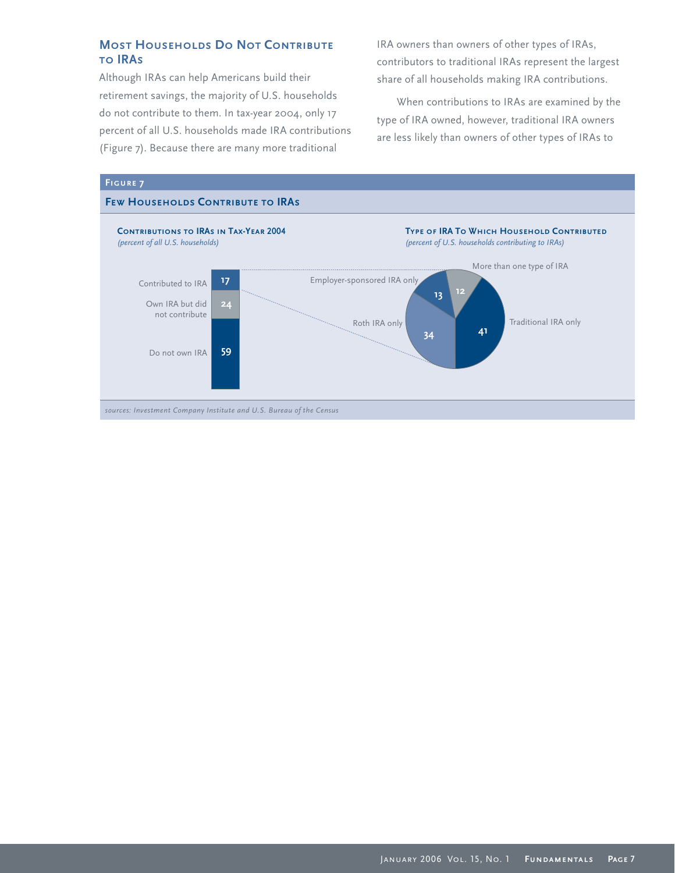# **MOST HOUSEHOLDS DO NOT CONTRIBUTE to IRAs**

Although IRAs can help Americans build their retirement savings, the majority of U.S. households do not contribute to them. In tax-year 2004, only 17 percent of all U.S. households made IRA contributions (Figure 7). Because there are many more traditional

IRA owners than owners of other types of IRAs, contributors to traditional IRAs represent the largest share of all households making IRA contributions.

When contributions to IRAs are examined by the type of IRA owned, however, traditional IRA owners are less likely than owners of other types of IRAs to

## **Figure 7**

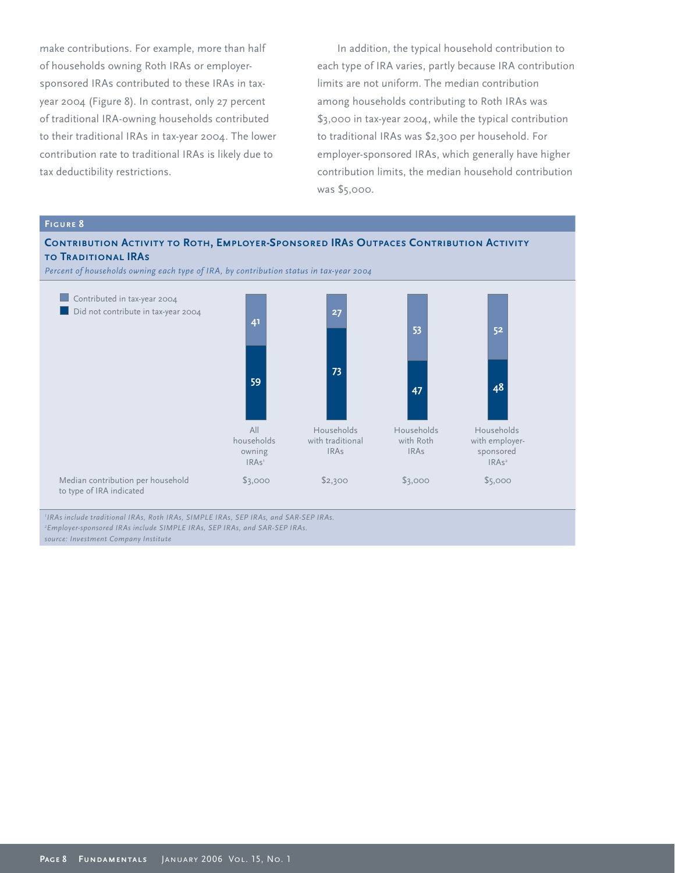make contributions. For example, more than half of households owning Roth IRAs or employersponsored IRAs contributed to these IRAs in taxyear 2004 (Figure 8). In contrast, only 27 percent of traditional IRA-owning households contributed to their traditional IRAs in tax-year 2004. The lower contribution rate to traditional IRAs is likely due to tax deductibility restrictions.

In addition, the typical household contribution to each type of IRA varies, partly because IRA contribution limits are not uniform. The median contribution among households contributing to Roth IRAs was \$3,000 in tax-year 2004, while the typical contribution to traditional IRAs was \$2,300 per household. For employer-sponsored IRAs, which generally have higher contribution limits, the median household contribution was \$5,000.



*1 IRAs include traditional IRAs, Roth IRAs, SIMPLE IRAs, SEP IRAs, and SAR-SEP IRAs. 2 Employer-sponsored IRAs include SIMPLE IRAs, SEP IRAs, and SAR-SEP IRAs. source: Investment Company Institute*

**Page 8 Fundamentals** January 2006 Vol. 15, No. 1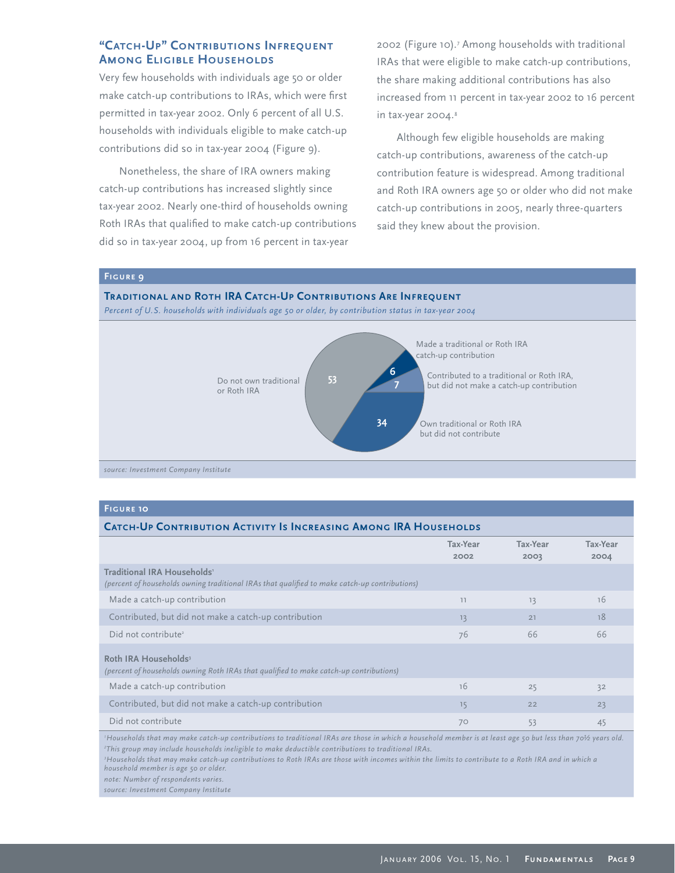## **"Catch-Up" Contributions Infrequent AMONG ELIGIBLE HOUSEHOLDS**

Very few households with individuals age 50 or older make catch-up contributions to IRAs, which were first permitted in tax-year 2002. Only 6 percent of all U.S. households with individuals eligible to make catch-up contributions did so in tax-year 2004 (Figure 9).

Nonetheless, the share of IRA owners making catch-up contributions has increased slightly since tax-year 2002. Nearly one-third of households owning Roth IRAs that qualified to make catch-up contributions did so in tax-year 2004, up from 16 percent in tax-year

2002 (Figure 10).7 Among households with traditional IRAs that were eligible to make catch-up contributions, the share making additional contributions has also increased from 11 percent in tax-year 2002 to 16 percent in tax-year 2004.8

Although few eligible households are making catch-up contributions, awareness of the catch-up contribution feature is widespread. Among traditional and Roth IRA owners age 50 or older who did not make catch-up contributions in 2005, nearly three-quarters said they knew about the provision.

#### **Figure 9**

#### **Traditional and Roth IRA Catch-Up Contributions Are Infrequent**

*Percent of U.S. households with individuals age 50 or older, by contribution status in tax-year 2004*



*source: Investment Company Institute* 

#### **Figure 10**

| <b>CATCH-UP CONTRIBUTION ACTIVITY IS INCREASING AMONG IRA HOUSEHOLDS</b>                                                     |                  |                  |                  |  |
|------------------------------------------------------------------------------------------------------------------------------|------------------|------------------|------------------|--|
|                                                                                                                              | Tax-Year<br>2002 | Tax-Year<br>2003 | Tax-Year<br>2004 |  |
| Traditional IRA Households'<br>(percent of households owning traditional IRAs that qualified to make catch-up contributions) |                  |                  |                  |  |
| Made a catch-up contribution                                                                                                 | 11               | 13               | 16               |  |
| Contributed, but did not make a catch-up contribution                                                                        | 13               | 21               | 18               |  |
| Did not contribute <sup>2</sup>                                                                                              | 76               | 66               | 66               |  |
| Roth IRA Households <sup>3</sup><br>(percent of households owning Roth IRAs that qualified to make catch-up contributions)   |                  |                  |                  |  |
| Made a catch-up contribution                                                                                                 | <b>16</b>        | 25               | 32               |  |
| Contributed, but did not make a catch-up contribution                                                                        | 15               | 22               | 23               |  |
| Did not contribute                                                                                                           | 70               | 53               | 45               |  |

*1 Households that may make catch-up contributions to traditional IRAs are those in which a household member is at least age 50 but less than 70½ years old. 2 This group may include households ineligible to make deductible contributions to traditional IRAs.* 

*3 Households that may make catch-up contributions to Roth IRAs are those with incomes within the limits to contribute to a Roth IRA and in which a household member is age 50 or older.* 

*note: Number of respondents varies.* 

*source: Investment Company Institute*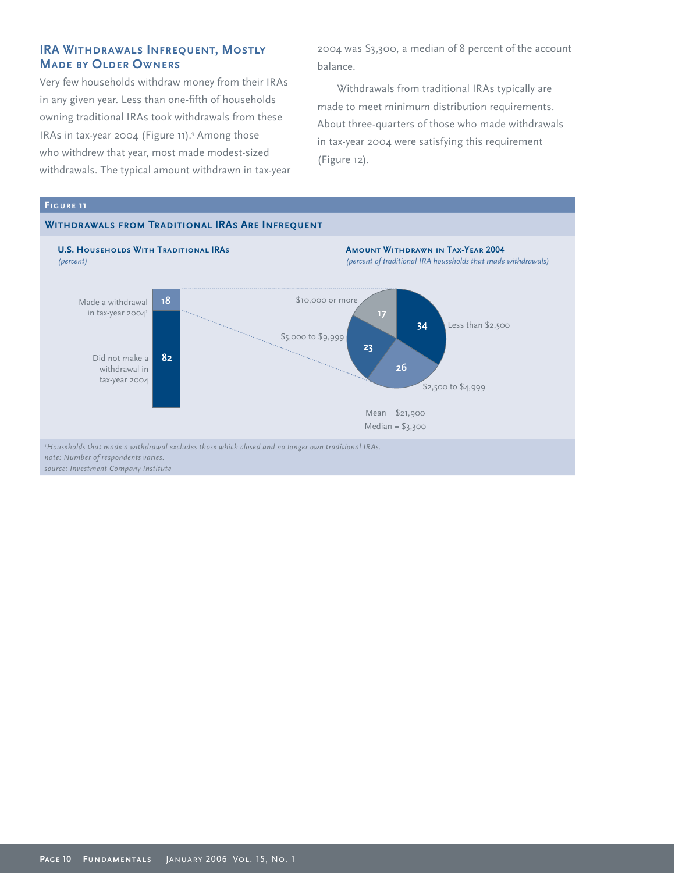# **IRA Withdrawals Infrequent, Mostly Made by Older Owners**

Very few households withdraw money from their IRAs in any given year. Less than one-fifth of households owning traditional IRAs took withdrawals from these IRAs in tax-year 2004 (Figure 11).9 Among those who withdrew that year, most made modest-sized withdrawals. The typical amount withdrawn in tax-year 2004 was \$3,300, a median of 8 percent of the account balance.

Withdrawals from traditional IRAs typically are made to meet minimum distribution requirements. About three-quarters of those who made withdrawals in tax-year 2004 were satisfying this requirement (Figure 12).

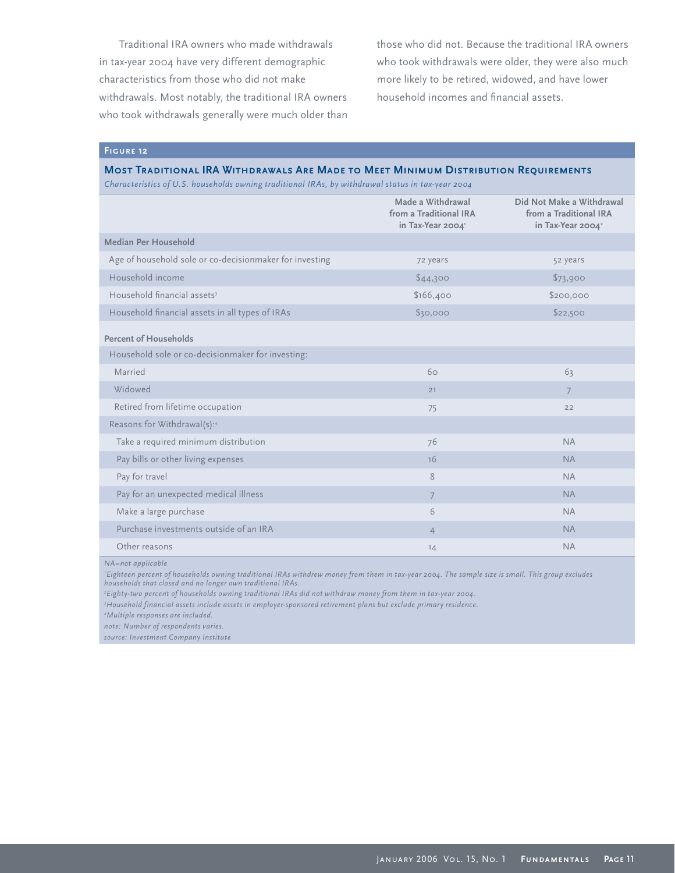Traditional IRA owners who made withdrawals in tax-year 2004 have very different demographic characteristics from those who did not make withdrawals. Most notably, the traditional IRA owners who took withdrawals generally were much older than those who did not. Because the traditional IRA owners who took withdrawals were older, they were also much more likely to be retired, widowed, and have lower household incomes and financial assets.

#### **Figure 12**

#### **Most Traditional IRA Withdrawals Are Made to Meet Minimum Distribution Requirements**

*Characteristics of U.S. households owning traditional IRAs, by withdrawal status in tax-year 2004*

|                                                         | Made a Withdrawal<br>from a Traditional IRA<br>in Tax-Year 2004' | Did Not Make a Withdrawal<br>from a Traditional IRA<br>in Tax-Year 2004 <sup>2</sup> |
|---------------------------------------------------------|------------------------------------------------------------------|--------------------------------------------------------------------------------------|
| Median Per Household                                    |                                                                  |                                                                                      |
| Age of household sole or co-decisionmaker for investing | 72 years                                                         | 52 years                                                                             |
| Household income                                        | \$44,300                                                         | \$73,900                                                                             |
| Household financial assets <sup>3</sup>                 | \$166,400                                                        | \$200,000                                                                            |
| Household financial assets in all types of IRAs         | \$30,000                                                         | \$22,500                                                                             |
| <b>Percent of Households</b>                            |                                                                  |                                                                                      |
| Household sole or co-decisionmaker for investing:       |                                                                  |                                                                                      |
| Married                                                 | 60                                                               | 63                                                                                   |
| Widowed                                                 | 21                                                               | $\overline{7}$                                                                       |
| Retired from lifetime occupation                        | 75                                                               | 22                                                                                   |
| Reasons for Withdrawal(s):4                             |                                                                  |                                                                                      |
| Take a required minimum distribution                    | 76                                                               | <b>NA</b>                                                                            |
| Pay bills or other living expenses                      | 16                                                               | <b>NA</b>                                                                            |
| Pay for travel                                          | 8                                                                | <b>NA</b>                                                                            |
| Pay for an unexpected medical illness                   | $\overline{7}$                                                   | <b>NA</b>                                                                            |
| Make a large purchase                                   | 6                                                                | <b>NA</b>                                                                            |
| Purchase investments outside of an IRA                  | $\overline{4}$                                                   | <b>NA</b>                                                                            |
| Other reasons                                           | 14                                                               | <b>NA</b>                                                                            |

*NA=not applicable*

*1 Eighteen percent of households owning traditional IRAs withdrew money from them in tax-year 2004. The sample size is small. This group excludes households that closed and no longer own traditional IRAs.*

*2 Eighty-two percent of households owning traditional IRAs did not withdraw money from them in tax-year 2004.*

*3 Household financial assets include assets in employer-sponsored retirement plans but exclude primary residence.*

*4 Multiple responses are included.*

*note: Number of respondents varies.*

*source: Investment Company Institute*